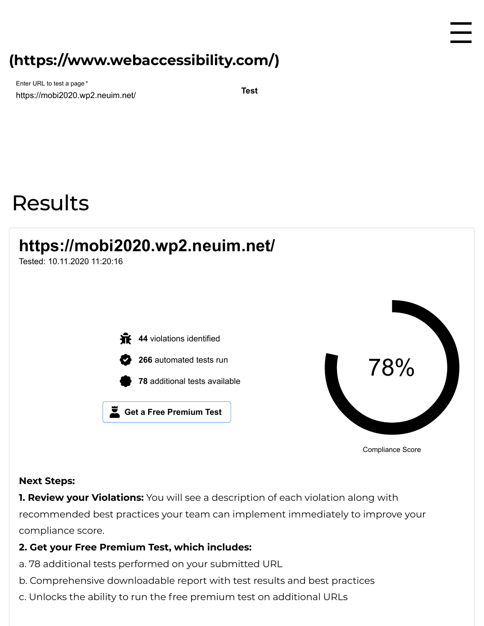## **[\(https://www.webaccessibility.com/\)](https://www.webaccessibility.com/)**

https://mobi2020.wp2.neuim.net/ **Test** Enter URL to test a page \*

# Results

## **https://mobi2020.wp2.neuim.net/**

Tested: 10.11.2020 11:20:16

 44 violations identified automated tests run additional tests available **Get a Free Premium Test**



☰

Compliance Score

#### **Next Steps:**

**1. Review your Violations:** You will see a description of each violation along with recommended best practices your team can implement immediately to improve your compliance score.

#### **2. Get your Free Premium Test, which includes:**

- a. 78 additional tests performed on your submitted URL
- b. Comprehensive downloadable report with test results and best practices
- c. Unlocks the ability to run the free premium test on additional URLs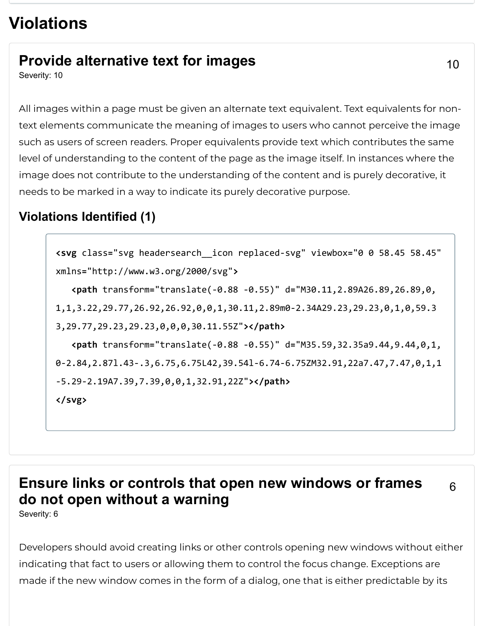## **Violations**

## **Provide alternative text for images**

Severity: 10

All images within a page must be given an alternate text equivalent. Text equivalents for nontext elements communicate the meaning of images to users who cannot perceive the image such as users of screen readers. Proper equivalents provide text which contributes the same level of understanding to the content of the page as the image itself. In instances where the image does not contribute to the understanding of the content and is purely decorative, it needs to be marked in a way to indicate its purely decorative purpose.

## **Violations Identified (1)**

```
<svg class="svg headersearch__icon replaced-svg" viewbox="0 0 58.45 58.45"
xmlns="http://www.w3.org/2000/svg">
    <path transform="translate(-0.88 -0.55)" d="M30.11,2.89A26.89,26.89,0,
1,1,3.22,29.77,26.92,26.92,0,0,1,30.11,2.89m0-2.34A29.23,29.23,0,1,0,59.3
3,29.77,29.23,29.23,0,0,0,30.11.55Z"></path>
    <path transform="translate(-0.88 -0.55)" d="M35.59,32.35a9.44,9.44,0,1,
0-2.84,2.87l.43-.3,6.75,6.75L42,39.54l-6.74-6.75ZM32.91,22a7.47,7.47,0,1,1
-5.29-2.19A7.39,7.39,0,0,1,32.91,22Z"></path>
</svg>
```
#### **Ensure links or controls that open new windows or frames do not open without a warning** 6

Severity: 6

Developers should avoid creating links or other controls opening new windows without either indicating that fact to users or allowing them to control the focus change. Exceptions are made if the new window comes in the form of a dialog, one that is either predictable by its

10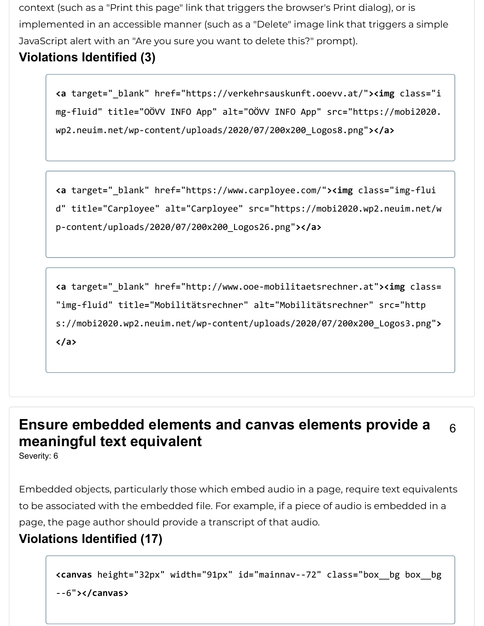context (such as a "Print this page" link that triggers the browser's Print dialog), or is implemented in an accessible manner (such as a "Delete" image link that triggers a simple JavaScript alert with an "Are you sure you want to delete this?" prompt).

#### **Violations Identified (3)**

**<a** target**=**"\_blank" href**=**"https://verkehrsauskunft.ooevv.at/"**><img** class**=**"i mg-fluid" title**=**"OÖVV INFO App" alt**=**"OÖVV INFO App" src**=**"https://mobi2020. wp2.neuim.net/wp-content/uploads/2020/07/200x200\_Logos8.png"**></a>**

```
<a target="_blank" href="https://www.carployee.com/"><img class="img-flui
d" title="Carployee" alt="Carployee" src="https://mobi2020.wp2.neuim.net/w
p-content/uploads/2020/07/200x200_Logos26.png"></a>
```

```
<a target="_blank" href="http://www.ooe-mobilitaetsrechner.at"><img class=
"img-fluid" title="Mobilitätsrechner" alt="Mobilitätsrechner" src="http
s://mobi2020.wp2.neuim.net/wp-content/uploads/2020/07/200x200_Logos3.png">
</a>
```
#### **Ensure embedded elements and canvas elements provide a meaningful text equivalent** 6

Severity: 6

Embedded objects, particularly those which embed audio in a page, require text equivalents to be associated with the embedded file. For example, if a piece of audio is embedded in a page, the page author should provide a transcript of that audio.

#### **Violations Identified (17)**

```
<canvas height="32px" width="91px" id="mainnav--72" class="box__bg box__bg
--6"></canvas>
```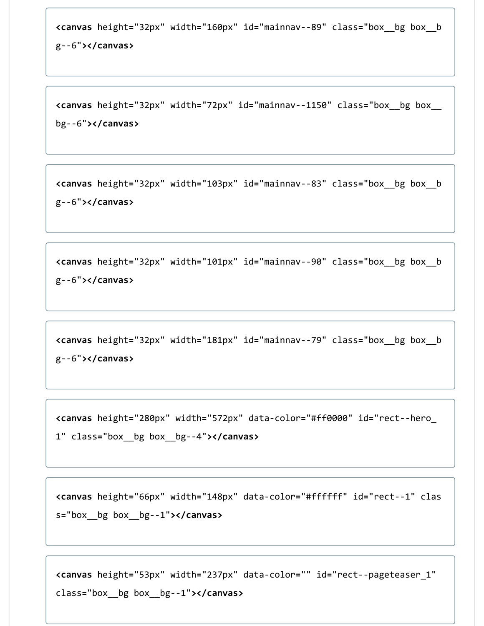```
<canvas height="32px" width="160px" id="mainnav--89" class="box__bg box__b
g--6"></canvas>
```
**<canvas** height**=**"32px" width**=**"72px" id**=**"mainnav--1150" class**=**"box\_\_bg box\_\_ bg--6"**></canvas>**

**<canvas** height**=**"32px" width**=**"103px" id**=**"mainnav--83" class**=**"box\_\_bg box\_\_b g--6"**></canvas>**

```
<canvas height="32px" width="101px" id="mainnav--90" class="box__bg box__b
g--6"></canvas>
```

```
<canvas height="32px" width="181px" id="mainnav--79" class="box__bg box__b
g--6"></canvas>
```
**<canvas** height**=**"280px" width**=**"572px" data-color**=**"#ff0000" id**=**"rect--hero\_ 1" class**=**"box\_\_bg box\_\_bg--4"**></canvas>**

**<canvas** height**=**"66px" width**=**"148px" data-color**=**"#ffffff" id**=**"rect--1" clas s**=**"box\_\_bg box\_\_bg--1"**></canvas>**

**<canvas** height**=**"53px" width**=**"237px" data-color**=**"" id**=**"rect--pageteaser\_1" class**=**"box\_\_bg box\_\_bg--1"**></canvas>**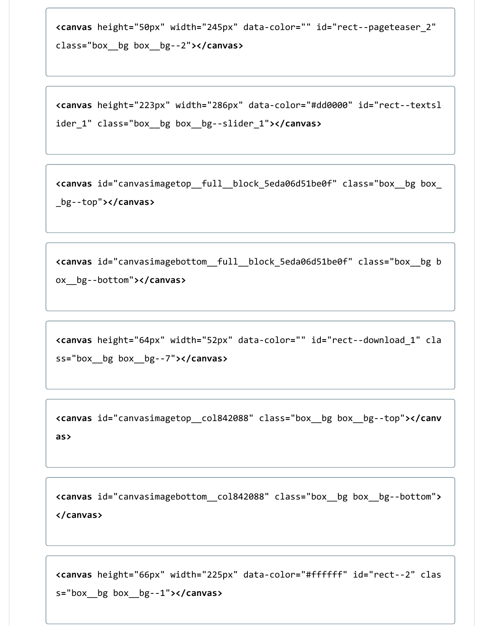**<canvas** height**=**"50px" width**=**"245px" data-color**=**"" id**=**"rect--pageteaser\_2" class**=**"box\_\_bg box\_\_bg--2"**></canvas>**

**<canvas** height**=**"223px" width**=**"286px" data-color**=**"#dd0000" id**=**"rect--textsl ider\_1" class**=**"box\_\_bg box\_\_bg--slider\_1"**></canvas>**

**<canvas** id**=**"canvasimagetop\_\_full\_\_block\_5eda06d51be0f" class**=**"box\_\_bg box\_ \_bg--top"**></canvas>**

**<canvas** id**=**"canvasimagebottom\_\_full\_\_block\_5eda06d51be0f" class**=**"box\_\_bg b ox\_\_bg--bottom"**></canvas>**

**<canvas** height**=**"64px" width**=**"52px" data-color**=**"" id**=**"rect--download\_1" cla ss**=**"box\_\_bg box\_\_bg--7"**></canvas>**

**<canvas** id**=**"canvasimagetop\_\_col842088" class**=**"box\_\_bg box\_\_bg--top"**></canv as>**

**<canvas** id**=**"canvasimagebottom\_\_col842088" class**=**"box\_\_bg box\_\_bg--bottom"**> </canvas>**

**<canvas** height**=**"66px" width**=**"225px" data-color**=**"#ffffff" id**=**"rect--2" clas s**=**"box\_\_bg box\_\_bg--1"**></canvas>**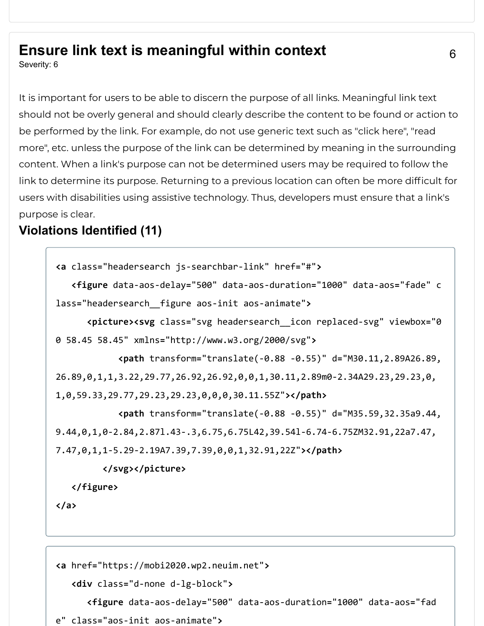### **Ensure link text is meaningful within context**

Severity: 6

It is important for users to be able to discern the purpose of all links. Meaningful link text should not be overly general and should clearly describe the content to be found or action to be performed by the link. For example, do not use generic text such as "click here", "read more", etc. unless the purpose of the link can be determined by meaning in the surrounding content. When a link's purpose can not be determined users may be required to follow the link to determine its purpose. Returning to a previous location can often be more difficult for users with disabilities using assistive technology. Thus, developers must ensure that a link's purpose is clear.

#### **Violations Identified (11)**

```
<a class="headersearch js-searchbar-link" href="#">
    <figure data-aos-delay="500" data-aos-duration="1000" data-aos="fade" c
lass="headersearch__figure aos-init aos-animate">
       <picture><svg class="svg headersearch__icon replaced-svg" viewbox="0 
0 58.45 58.45" xmlns="http://www.w3.org/2000/svg">
             <path transform="translate(-0.88 -0.55)" d="M30.11,2.89A26.89,
26.89,0,1,1,3.22,29.77,26.92,26.92,0,0,1,30.11,2.89m0-2.34A29.23,29.23,0,
1,0,59.33,29.77,29.23,29.23,0,0,0,30.11.55Z"></path>
             <path transform="translate(-0.88 -0.55)" d="M35.59,32.35a9.44,
9.44,0,1,0-2.84,2.87l.43-.3,6.75,6.75L42,39.54l-6.74-6.75ZM32.91,22a7.47,
7.47,0,1,1-5.29-2.19A7.39,7.39,0,0,1,32.91,22Z"></path>
          </svg></picture>
    </figure>
</a>
```

```
<a href="https://mobi2020.wp2.neuim.net">
    <div class="d-none d-lg-block">
       <figure data-aos-delay="500" data-aos-duration="1000" data-aos="fad
e" class="aos-init aos-animate">
```
6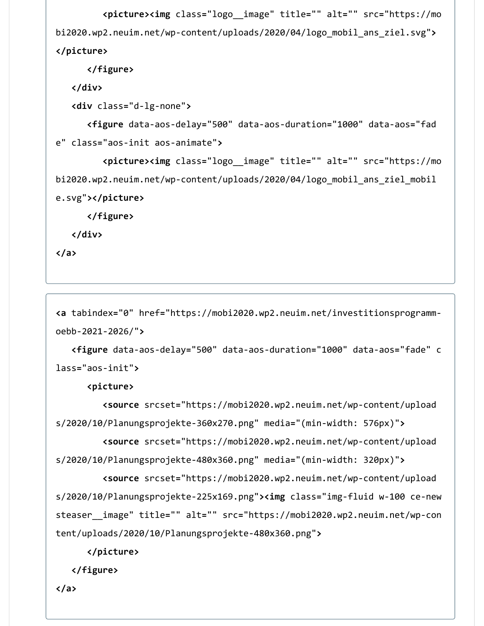**<picture><img** class**=**"logo\_\_image" title**=**"" alt**=**"" src**=**"https://mo bi2020.wp2.neuim.net/wp-content/uploads/2020/04/logo\_mobil\_ans\_ziel.svg"**> </picture>**

```
 </figure>
```
**</div>**

**<div** class**=**"d-lg-none"**>**

 **<figure** data-aos-delay**=**"500" data-aos-duration**=**"1000" data-aos**=**"fad e" class**=**"aos-init aos-animate"**>**

 **<picture><img** class**=**"logo\_\_image" title**=**"" alt**=**"" src**=**"https://mo bi2020.wp2.neuim.net/wp-content/uploads/2020/04/logo\_mobil\_ans\_ziel\_mobil e.svg"**></picture>**

**</figure>**

**</div>**

**</a>**

**<a** tabindex**=**"0" href**=**"https://mobi2020.wp2.neuim.net/investitionsprogrammoebb-2021-2026/"**>**

 **<figure** data-aos-delay**=**"500" data-aos-duration**=**"1000" data-aos**=**"fade" c lass**=**"aos-init"**>**

**<picture>**

 **<source** srcset**=**"https://mobi2020.wp2.neuim.net/wp-content/upload s/2020/10/Planungsprojekte-360x270.png" media**=**"(min-width: 576px)"**>**

 **<source** srcset**=**"https://mobi2020.wp2.neuim.net/wp-content/upload s/2020/10/Planungsprojekte-480x360.png" media**=**"(min-width: 320px)"**>**

 **<source** srcset**=**"https://mobi2020.wp2.neuim.net/wp-content/upload s/2020/10/Planungsprojekte-225x169.png"**><img** class**=**"img-fluid w-100 ce-new steaser\_\_image" title**=**"" alt**=**"" src**=**"https://mobi2020.wp2.neuim.net/wp-con tent/uploads/2020/10/Planungsprojekte-480x360.png"**>**

**</picture>**

**</figure>**

**</a>**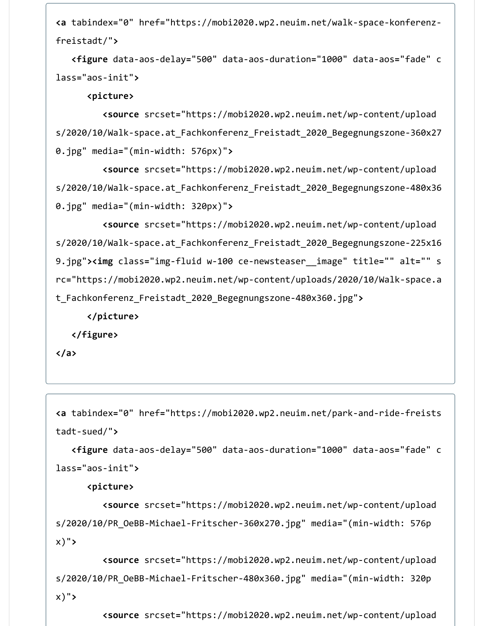**<a** tabindex**=**"0" href**=**"https://mobi2020.wp2.neuim.net/walk-space-konferenzfreistadt/"**>**

 **<figure** data-aos-delay**=**"500" data-aos-duration**=**"1000" data-aos**=**"fade" c lass**=**"aos-init"**>**

**<picture>**

 **<source** srcset**=**"https://mobi2020.wp2.neuim.net/wp-content/upload s/2020/10/Walk-space.at\_Fachkonferenz\_Freistadt\_2020\_Begegnungszone-360x27 0.jpg" media**=**"(min-width: 576px)"**>**

 **<source** srcset**=**"https://mobi2020.wp2.neuim.net/wp-content/upload s/2020/10/Walk-space.at\_Fachkonferenz\_Freistadt\_2020\_Begegnungszone-480x36 0.jpg" media**=**"(min-width: 320px)"**>**

 **<source** srcset**=**"https://mobi2020.wp2.neuim.net/wp-content/upload s/2020/10/Walk-space.at\_Fachkonferenz\_Freistadt\_2020\_Begegnungszone-225x16 9.jpg"**><img** class**=**"img-fluid w-100 ce-newsteaser\_\_image" title**=**"" alt**=**"" s rc**=**"https://mobi2020.wp2.neuim.net/wp-content/uploads/2020/10/Walk-space.a t\_Fachkonferenz\_Freistadt\_2020\_Begegnungszone-480x360.jpg"**>**

**</picture>**

**</figure>**

**</a>**

```
<a tabindex="0" href="https://mobi2020.wp2.neuim.net/park-and-ride-freists
tadt-sued/">
```
 **<figure** data-aos-delay**=**"500" data-aos-duration**=**"1000" data-aos**=**"fade" c lass**=**"aos-init"**>**

**<picture>**

 **<source** srcset**=**"https://mobi2020.wp2.neuim.net/wp-content/upload s/2020/10/PR\_OeBB-Michael-Fritscher-360x270.jpg" media**=**"(min-width: 576p x)"**>**

 **<source** srcset**=**"https://mobi2020.wp2.neuim.net/wp-content/upload s/2020/10/PR\_OeBB-Michael-Fritscher-480x360.jpg" media**=**"(min-width: 320p x)"**>**

**<source** srcset**=**"https://mobi2020.wp2.neuim.net/wp-content/upload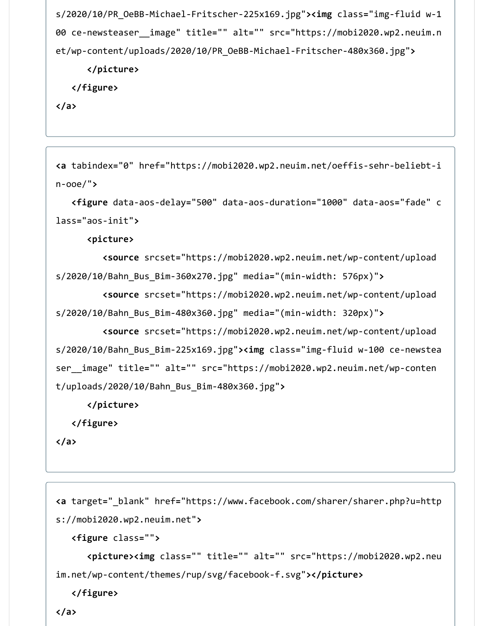s/2020/10/PR\_OeBB-Michael-Fritscher-225x169.jpg"**><img** class**=**"img-fluid w-1 00 ce-newsteaser\_\_image" title**=**"" alt**=**"" src**=**"https://mobi2020.wp2.neuim.n et/wp-content/uploads/2020/10/PR\_OeBB-Michael-Fritscher-480x360.jpg"**>**

**</picture>**

**</figure>**

**</a>**

```
<a tabindex="0" href="https://mobi2020.wp2.neuim.net/oeffis-sehr-beliebt-i
n-ooe/">
```
 **<figure** data-aos-delay**=**"500" data-aos-duration**=**"1000" data-aos**=**"fade" c lass**=**"aos-init"**>**

**<picture>**

```
 <source srcset="https://mobi2020.wp2.neuim.net/wp-content/upload
s/2020/10/Bahn_Bus_Bim-360x270.jpg" media="(min-width: 576px)">
```
**<source** srcset**=**"https://mobi2020.wp2.neuim.net/wp-content/upload

```
s/2020/10/Bahn_Bus_Bim-480x360.jpg" media="(min-width: 320px)">
```
 **<source** srcset**=**"https://mobi2020.wp2.neuim.net/wp-content/upload s/2020/10/Bahn\_Bus\_Bim-225x169.jpg"**><img** class**=**"img-fluid w-100 ce-newstea ser\_\_image" title**=**"" alt**=**"" src**=**"https://mobi2020.wp2.neuim.net/wp-conten t/uploads/2020/10/Bahn\_Bus\_Bim-480x360.jpg"**>**

**</picture>**

**</figure>**

**</a>**

```
<a target="_blank" href="https://www.facebook.com/sharer/sharer.php?u=http
s://mobi2020.wp2.neuim.net">
```

```
 <figure class="">
```

```
 <picture><img class="" title="" alt="" src="https://mobi2020.wp2.neu
im.net/wp-content/themes/rup/svg/facebook-f.svg"></picture>
```

```
 </figure>
```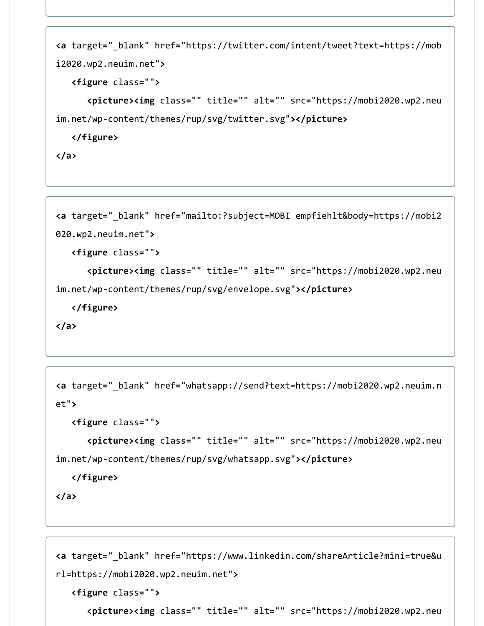```
<a target="_blank" href="https://twitter.com/intent/tweet?text=https://mob
i2020.wp2.neuim.net">
    <figure class="">
       <picture><img class="" title="" alt="" src="https://mobi2020.wp2.neu
im.net/wp-content/themes/rup/svg/twitter.svg"></picture>
    </figure>
```
**</a>**

```
<a target="_blank" href="mailto:?subject=MOBI empfiehlt&body=https://mobi2
020.wp2.neuim.net">
    <figure class="">
       <picture><img class="" title="" alt="" src="https://mobi2020.wp2.neu
im.net/wp-content/themes/rup/svg/envelope.svg"></picture>
    </figure>
```

```
</a>
```

```
<a target="_blank" href="whatsapp://send?text=https://mobi2020.wp2.neuim.n
et">
    <figure class="">
       <picture><img class="" title="" alt="" src="https://mobi2020.wp2.neu
im.net/wp-content/themes/rup/svg/whatsapp.svg"></picture>
```
**</figure>**

**</a>**

```
<a target="_blank" href="https://www.linkedin.com/shareArticle?mini=true&u
rl=https://mobi2020.wp2.neuim.net">
   <figure class="">
       <picture><img class="" title="" alt="" src="https://mobi2020.wp2.neu
```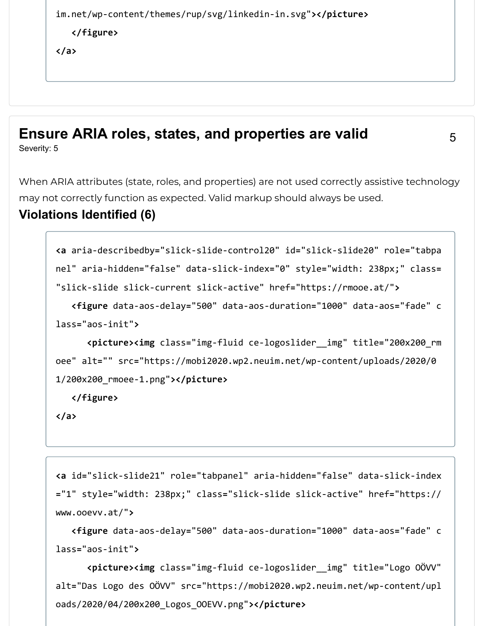```
im.net/wp-content/themes/rup/svg/linkedin-in.svg"></picture>
   </figure>
</a>
```
#### **Ensure ARIA roles, states, and properties are valid** Severity: 5

5

When ARIA attributes (state, roles, and properties) are not used correctly assistive technology may not correctly function as expected. Valid markup should always be used.

#### **Violations Identified (6)**

```
<a aria-describedby="slick-slide-control20" id="slick-slide20" role="tabpa
nel" aria-hidden="false" data-slick-index="0" style="width: 238px;" class=
"slick-slide slick-current slick-active" href="https://rmooe.at/">
    <figure data-aos-delay="500" data-aos-duration="1000" data-aos="fade" c
lass="aos-init">
       <picture><img class="img-fluid ce-logoslider__img" title="200x200_rm
oee" alt="" src="https://mobi2020.wp2.neuim.net/wp-content/uploads/2020/0
1/200x200_rmoee-1.png"></picture>
   </figure>
```

```
</a>
```

```
<a id="slick-slide21" role="tabpanel" aria-hidden="false" data-slick-index
="1" style="width: 238px;" class="slick-slide slick-active" href="https://
www.ooevv.at/">
```
 **<figure** data-aos-delay**=**"500" data-aos-duration**=**"1000" data-aos**=**"fade" c lass**=**"aos-init"**>**

 **<picture><img** class**=**"img-fluid ce-logoslider\_\_img" title**=**"Logo OÖVV" alt**=**"Das Logo des OÖVV" src**=**"https://mobi2020.wp2.neuim.net/wp-content/upl oads/2020/04/200x200\_Logos\_OOEVV.png"**></picture>**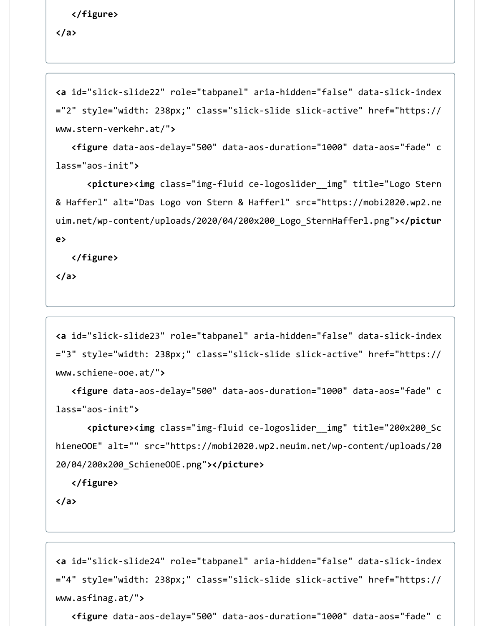```
 </figure>
```
**</a>**

```
<a id="slick-slide22" role="tabpanel" aria-hidden="false" data-slick-index
="2" style="width: 238px;" class="slick-slide slick-active" href="https://
www.stern-verkehr.at/">
```

```
 <figure data-aos-delay="500" data-aos-duration="1000" data-aos="fade" c
lass="aos-init">
```
 **<picture><img** class**=**"img-fluid ce-logoslider\_\_img" title**=**"Logo Stern & Hafferl" alt**=**"Das Logo von Stern & Hafferl" src**=**"https://mobi2020.wp2.ne uim.net/wp-content/uploads/2020/04/200x200\_Logo\_SternHafferl.png"**></pictur e>**

**</figure>**

**</a>**

```
<a id="slick-slide23" role="tabpanel" aria-hidden="false" data-slick-index
="3" style="width: 238px;" class="slick-slide slick-active" href="https://
www.schiene-ooe.at/">
```

```
 <figure data-aos-delay="500" data-aos-duration="1000" data-aos="fade" c
lass="aos-init">
```

```
 <picture><img class="img-fluid ce-logoslider__img" title="200x200_Sc
hieneOOE" alt="" src="https://mobi2020.wp2.neuim.net/wp-content/uploads/20
20/04/200x200_SchieneOOE.png"></picture>
```
**</figure>**

```
</a>
```

```
<a id="slick-slide24" role="tabpanel" aria-hidden="false" data-slick-index
="4" style="width: 238px;" class="slick-slide slick-active" href="https://
www.asfinag.at/">
```

```
 <figure data-aos-delay="500" data-aos-duration="1000" data-aos="fade" c
```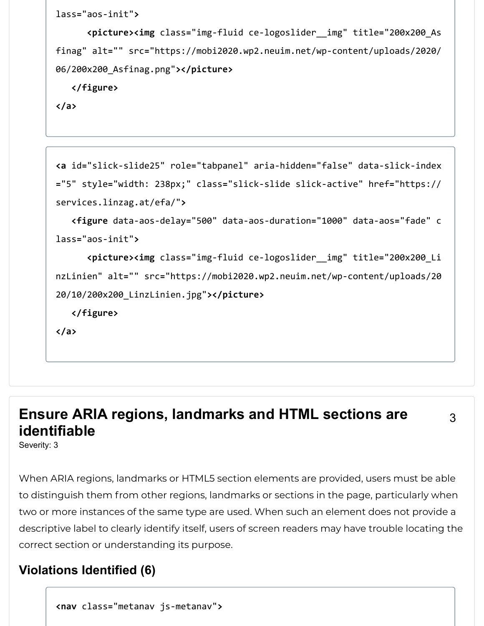```
lass="aos-init">
```
 **<picture><img** class**=**"img-fluid ce-logoslider\_\_img" title**=**"200x200\_As finag" alt**=**"" src**=**"https://mobi2020.wp2.neuim.net/wp-content/uploads/2020/ 06/200x200\_Asfinag.png"**></picture>**

**</figure>**

**</a>**

```
<a id="slick-slide25" role="tabpanel" aria-hidden="false" data-slick-index
="5" style="width: 238px;" class="slick-slide slick-active" href="https://
services.linzag.at/efa/">
    <figure data-aos-delay="500" data-aos-duration="1000" data-aos="fade" c
lass="aos-init">
       <picture><img class="img-fluid ce-logoslider__img" title="200x200_Li
nzLinien" alt="" src="https://mobi2020.wp2.neuim.net/wp-content/uploads/20
20/10/200x200_LinzLinien.jpg"></picture>
    </figure>
</a>
```
## **Ensure ARIA regions, landmarks and HTML sections are identifiable**

Severity: 3

When ARIA regions, landmarks or HTML5 section elements are provided, users must be able to distinguish them from other regions, landmarks or sections in the page, particularly when two or more instances of the same type are used. When such an element does not provide a descriptive label to clearly identify itself, users of screen readers may have trouble locating the correct section or understanding its purpose.

3

#### **Violations Identified (6)**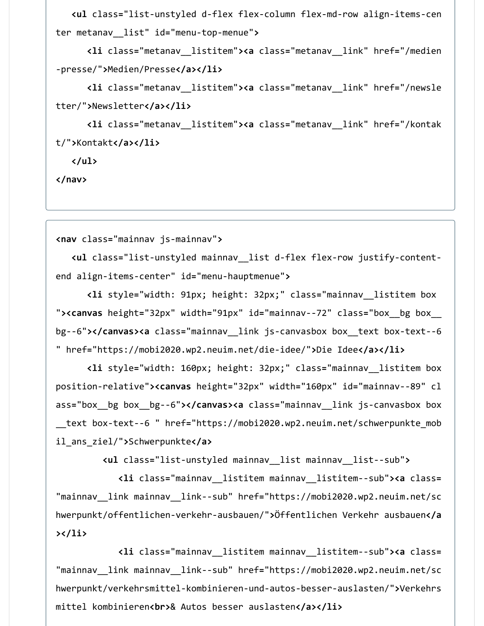**<ul** class**=**"list-unstyled d-flex flex-column flex-md-row align-items-cen ter metanav\_\_list" id**=**"menu-top-menue"**>**

 **<li** class**=**"metanav\_\_listitem"**><a** class**=**"metanav\_\_link" href**=**"/medien -presse/"**>**Medien/Presse**</a></li>**

 **<li** class**=**"metanav\_\_listitem"**><a** class**=**"metanav\_\_link" href**=**"/newsle tter/"**>**Newsletter**</a></li>**

 **<li** class**=**"metanav\_\_listitem"**><a** class**=**"metanav\_\_link" href**=**"/kontak t/"**>**Kontakt**</a></li>**

**</ul>**

**</nav>**

**<nav** class**=**"mainnav js-mainnav"**>**

 **<ul** class**=**"list-unstyled mainnav\_\_list d-flex flex-row justify-contentend align-items-center" id**=**"menu-hauptmenue"**>**

 **<li** style**=**"width: 91px; height: 32px;" class**=**"mainnav\_\_listitem box "**><canvas** height**=**"32px" width**=**"91px" id**=**"mainnav--72" class**=**"box\_\_bg box\_\_ bg--6"**></canvas><a** class**=**"mainnav\_\_link js-canvasbox box\_\_text box-text--6 " href**=**"https://mobi2020.wp2.neuim.net/die-idee/"**>**Die Idee**</a></li>**

 **<li** style**=**"width: 160px; height: 32px;" class**=**"mainnav\_\_listitem box position-relative"**><canvas** height**=**"32px" width**=**"160px" id**=**"mainnav--89" cl ass**=**"box\_\_bg box\_\_bg--6"**></canvas><a** class**=**"mainnav\_\_link js-canvasbox box \_\_text box-text--6 " href**=**"https://mobi2020.wp2.neuim.net/schwerpunkte\_mob il\_ans\_ziel/"**>**Schwerpunkte**</a>**

**<ul** class**=**"list-unstyled mainnav\_\_list mainnav\_\_list--sub"**>**

 **<li** class**=**"mainnav\_\_listitem mainnav\_\_listitem--sub"**><a** class**=** "mainnav\_\_link mainnav\_\_link--sub" href**=**"https://mobi2020.wp2.neuim.net/sc hwerpunkt/offentlichen-verkehr-ausbauen/"**>**Öffentlichen Verkehr ausbauen**</a ></li>**

 **<li** class**=**"mainnav\_\_listitem mainnav\_\_listitem--sub"**><a** class**=** "mainnav\_\_link mainnav\_\_link--sub" href**=**"https://mobi2020.wp2.neuim.net/sc hwerpunkt/verkehrsmittel-kombinieren-und-autos-besser-auslasten/"**>**Verkehrs mittel kombinieren**<br>**& Autos besser auslasten**</a></li>**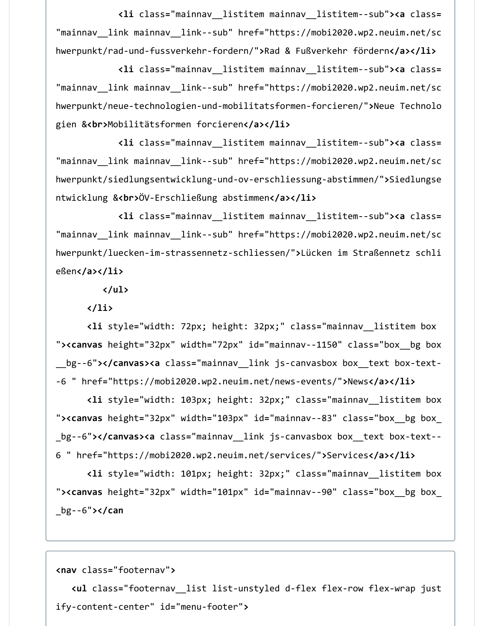**<li** class**=**"mainnav\_\_listitem mainnav\_\_listitem--sub"**><a** class**=** "mainnav\_\_link mainnav\_\_link--sub" href**=**"https://mobi2020.wp2.neuim.net/sc hwerpunkt/rad-und-fussverkehr-fordern/"**>**Rad & Fußverkehr fördern**</a></li>**

 **<li** class**=**"mainnav\_\_listitem mainnav\_\_listitem--sub"**><a** class**=** "mainnav\_\_link mainnav\_\_link--sub" href**=**"https://mobi2020.wp2.neuim.net/sc hwerpunkt/neue-technologien-und-mobilitatsformen-forcieren/"**>**Neue Technolo gien &**<br>**Mobilitätsformen forcieren**</a></li>**

 **<li** class**=**"mainnav\_\_listitem mainnav\_\_listitem--sub"**><a** class**=** "mainnav\_\_link mainnav\_\_link--sub" href**=**"https://mobi2020.wp2.neuim.net/sc hwerpunkt/siedlungsentwicklung-und-ov-erschliessung-abstimmen/"**>**Siedlungse ntwicklung &**<br>**ÖV-Erschließung abstimmen**</a></li>**

 **<li** class**=**"mainnav\_\_listitem mainnav\_\_listitem--sub"**><a** class**=** "mainnav\_\_link mainnav\_\_link--sub" href**=**"https://mobi2020.wp2.neuim.net/sc hwerpunkt/luecken-im-strassennetz-schliessen/"**>**Lücken im Straßennetz schli eßen**</a></li>**

**</ul>**

**</li>**

 **<li** style**=**"width: 72px; height: 32px;" class**=**"mainnav\_\_listitem box "**><canvas** height**=**"32px" width**=**"72px" id**=**"mainnav--1150" class**=**"box\_\_bg box \_\_bg--6"**></canvas><a** class**=**"mainnav\_\_link js-canvasbox box\_\_text box-text- -6 " href**=**"https://mobi2020.wp2.neuim.net/news-events/"**>**News**</a></li>**

 **<li** style**=**"width: 103px; height: 32px;" class**=**"mainnav\_\_listitem box "**><canvas** height**=**"32px" width**=**"103px" id**=**"mainnav--83" class**=**"box\_\_bg box\_ \_bg--6"**></canvas><a** class**=**"mainnav\_\_link js-canvasbox box\_\_text box-text-- 6 " href**=**"https://mobi2020.wp2.neuim.net/services/"**>**Services**</a></li>**

 **<li** style**=**"width: 101px; height: 32px;" class**=**"mainnav\_\_listitem box "**><canvas** height**=**"32px" width**=**"101px" id**=**"mainnav--90" class**=**"box\_\_bg box\_ \_bg--6"**></can**

#### **<nav** class**=**"footernav"**>**

 **<ul** class**=**"footernav\_\_list list-unstyled d-flex flex-row flex-wrap just ify-content-center" id**=**"menu-footer"**>**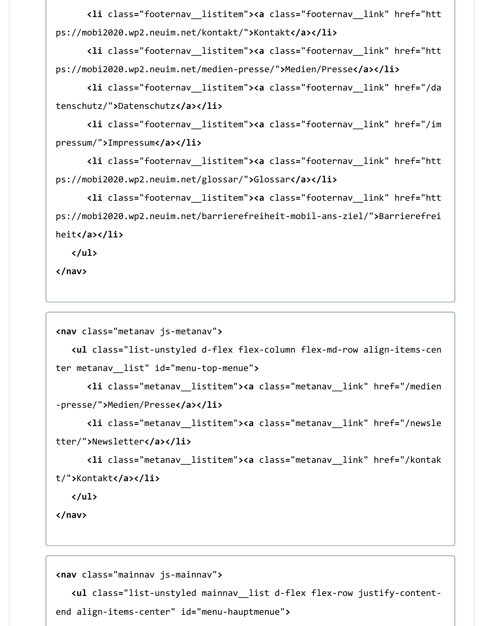**<li** class**=**"footernav\_\_listitem"**><a** class**=**"footernav\_\_link" href**=**"htt ps://mobi2020.wp2.neuim.net/kontakt/"**>**Kontakt**</a></li>**

 **<li** class**=**"footernav\_\_listitem"**><a** class**=**"footernav\_\_link" href**=**"htt ps://mobi2020.wp2.neuim.net/medien-presse/"**>**Medien/Presse**</a></li>**

 **<li** class**=**"footernav\_\_listitem"**><a** class**=**"footernav\_\_link" href**=**"/da tenschutz/"**>**Datenschutz**</a></li>**

 **<li** class**=**"footernav\_\_listitem"**><a** class**=**"footernav\_\_link" href**=**"/im pressum/"**>**Impressum**</a></li>**

 **<li** class**=**"footernav\_\_listitem"**><a** class**=**"footernav\_\_link" href**=**"htt ps://mobi2020.wp2.neuim.net/glossar/"**>**Glossar**</a></li>**

 **<li** class**=**"footernav\_\_listitem"**><a** class**=**"footernav\_\_link" href**=**"htt ps://mobi2020.wp2.neuim.net/barrierefreiheit-mobil-ans-ziel/"**>**Barrierefrei heit**</a></li>**

**</ul>**

**</nav>**

```
<nav class="metanav js-metanav">
```

```
 <ul class="list-unstyled d-flex flex-column flex-md-row align-items-cen
ter metanav__list" id="menu-top-menue">
```

```
 <li class="metanav__listitem"><a class="metanav__link" href="/medien
-presse/">Medien/Presse</a></li>
```

```
 <li class="metanav__listitem"><a class="metanav__link" href="/newsle
tter/">Newsletter</a></li>
```

```
 <li class="metanav__listitem"><a class="metanav__link" href="/kontak
t/">Kontakt</a></li>
```
**</ul>**

**</nav>**

```
<nav class="mainnav js-mainnav">
```
 **<ul** class**=**"list-unstyled mainnav\_\_list d-flex flex-row justify-contentend align-items-center" id**=**"menu-hauptmenue"**>**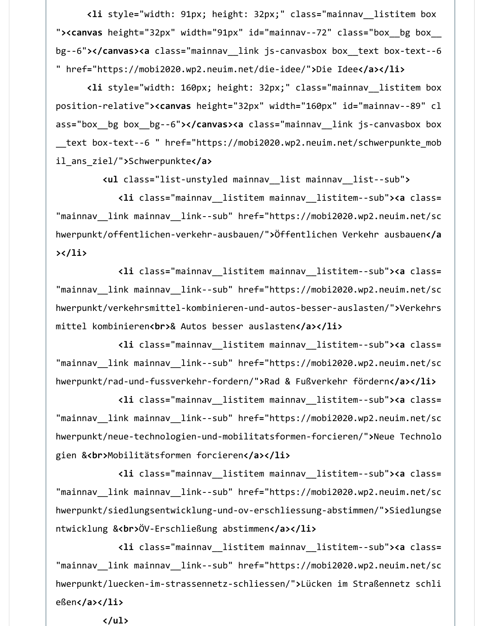**<li** style**=**"width: 91px; height: 32px;" class**=**"mainnav\_\_listitem box "**><canvas** height**=**"32px" width**=**"91px" id**=**"mainnav--72" class**=**"box\_\_bg box\_\_ bg--6"**></canvas><a** class**=**"mainnav\_\_link js-canvasbox box\_\_text box-text--6 " href**=**"https://mobi2020.wp2.neuim.net/die-idee/"**>**Die Idee**</a></li>**

 **<li** style**=**"width: 160px; height: 32px;" class**=**"mainnav\_\_listitem box position-relative"**><canvas** height**=**"32px" width**=**"160px" id**=**"mainnav--89" cl ass**=**"box\_\_bg box\_\_bg--6"**></canvas><a** class**=**"mainnav\_\_link js-canvasbox box \_\_text box-text--6 " href**=**"https://mobi2020.wp2.neuim.net/schwerpunkte\_mob il\_ans\_ziel/"**>**Schwerpunkte**</a>**

**<ul** class**=**"list-unstyled mainnav\_\_list mainnav\_\_list--sub"**>**

 **<li** class**=**"mainnav\_\_listitem mainnav\_\_listitem--sub"**><a** class**=** "mainnav\_\_link mainnav\_\_link--sub" href**=**"https://mobi2020.wp2.neuim.net/sc hwerpunkt/offentlichen-verkehr-ausbauen/"**>**Öffentlichen Verkehr ausbauen**</a ></li>**

 **<li** class**=**"mainnav\_\_listitem mainnav\_\_listitem--sub"**><a** class**=** "mainnav\_\_link mainnav\_\_link--sub" href**=**"https://mobi2020.wp2.neuim.net/sc hwerpunkt/verkehrsmittel-kombinieren-und-autos-besser-auslasten/"**>**Verkehrs mittel kombinieren**<br>**& Autos besser auslasten**</a></li>**

 **<li** class**=**"mainnav\_\_listitem mainnav\_\_listitem--sub"**><a** class**=** "mainnav\_\_link mainnav\_\_link--sub" href**=**"https://mobi2020.wp2.neuim.net/sc hwerpunkt/rad-und-fussverkehr-fordern/"**>**Rad & Fußverkehr fördern**</a></li>**

 **<li** class**=**"mainnav\_\_listitem mainnav\_\_listitem--sub"**><a** class**=** "mainnav\_\_link mainnav\_\_link--sub" href**=**"https://mobi2020.wp2.neuim.net/sc hwerpunkt/neue-technologien-und-mobilitatsformen-forcieren/"**>**Neue Technolo gien &**<br>**Mobilitätsformen forcieren**</a></li>**

 **<li** class**=**"mainnav\_\_listitem mainnav\_\_listitem--sub"**><a** class**=** "mainnav\_\_link mainnav\_\_link--sub" href**=**"https://mobi2020.wp2.neuim.net/sc hwerpunkt/siedlungsentwicklung-und-ov-erschliessung-abstimmen/"**>**Siedlungse ntwicklung &**<br>**ÖV-Erschließung abstimmen**</a></li>**

 **<li** class**=**"mainnav\_\_listitem mainnav\_\_listitem--sub"**><a** class**=** "mainnav\_\_link mainnav\_\_link--sub" href**=**"https://mobi2020.wp2.neuim.net/sc hwerpunkt/luecken-im-strassennetz-schliessen/"**>**Lücken im Straßennetz schli eßen**</a></li>**

**</ul>**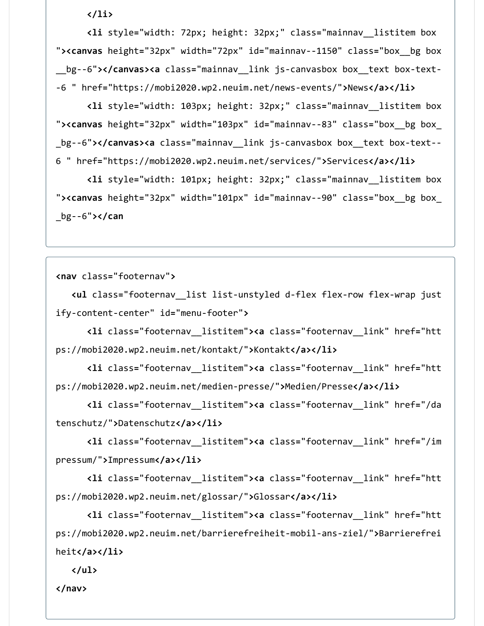**</li>**

 **<li** style**=**"width: 72px; height: 32px;" class**=**"mainnav\_\_listitem box "**><canvas** height**=**"32px" width**=**"72px" id**=**"mainnav--1150" class**=**"box\_\_bg box \_\_bg--6"**></canvas><a** class**=**"mainnav\_\_link js-canvasbox box\_\_text box-text- -6 " href**=**"https://mobi2020.wp2.neuim.net/news-events/"**>**News**</a></li>**

 **<li** style**=**"width: 103px; height: 32px;" class**=**"mainnav\_\_listitem box "**><canvas** height**=**"32px" width**=**"103px" id**=**"mainnav--83" class**=**"box\_\_bg box\_ \_bg--6"**></canvas><a** class**=**"mainnav\_\_link js-canvasbox box\_\_text box-text-- 6 " href**=**"https://mobi2020.wp2.neuim.net/services/"**>**Services**</a></li>**

 **<li** style**=**"width: 101px; height: 32px;" class**=**"mainnav\_\_listitem box "**><canvas** height**=**"32px" width**=**"101px" id**=**"mainnav--90" class**=**"box\_\_bg box\_ \_bg--6"**></can**

**<nav** class**=**"footernav"**>**

 **<ul** class**=**"footernav\_\_list list-unstyled d-flex flex-row flex-wrap just ify-content-center" id**=**"menu-footer"**>**

 **<li** class**=**"footernav\_\_listitem"**><a** class**=**"footernav\_\_link" href**=**"htt ps://mobi2020.wp2.neuim.net/kontakt/"**>**Kontakt**</a></li>**

 **<li** class**=**"footernav\_\_listitem"**><a** class**=**"footernav\_\_link" href**=**"htt ps://mobi2020.wp2.neuim.net/medien-presse/"**>**Medien/Presse**</a></li>**

 **<li** class**=**"footernav\_\_listitem"**><a** class**=**"footernav\_\_link" href**=**"/da tenschutz/"**>**Datenschutz**</a></li>**

 **<li** class**=**"footernav\_\_listitem"**><a** class**=**"footernav\_\_link" href**=**"/im pressum/"**>**Impressum**</a></li>**

 **<li** class**=**"footernav\_\_listitem"**><a** class**=**"footernav\_\_link" href**=**"htt ps://mobi2020.wp2.neuim.net/glossar/"**>**Glossar**</a></li>**

 **<li** class**=**"footernav\_\_listitem"**><a** class**=**"footernav\_\_link" href**=**"htt ps://mobi2020.wp2.neuim.net/barrierefreiheit-mobil-ans-ziel/"**>**Barrierefrei heit**</a></li>**

**</ul>**

**</nav>**